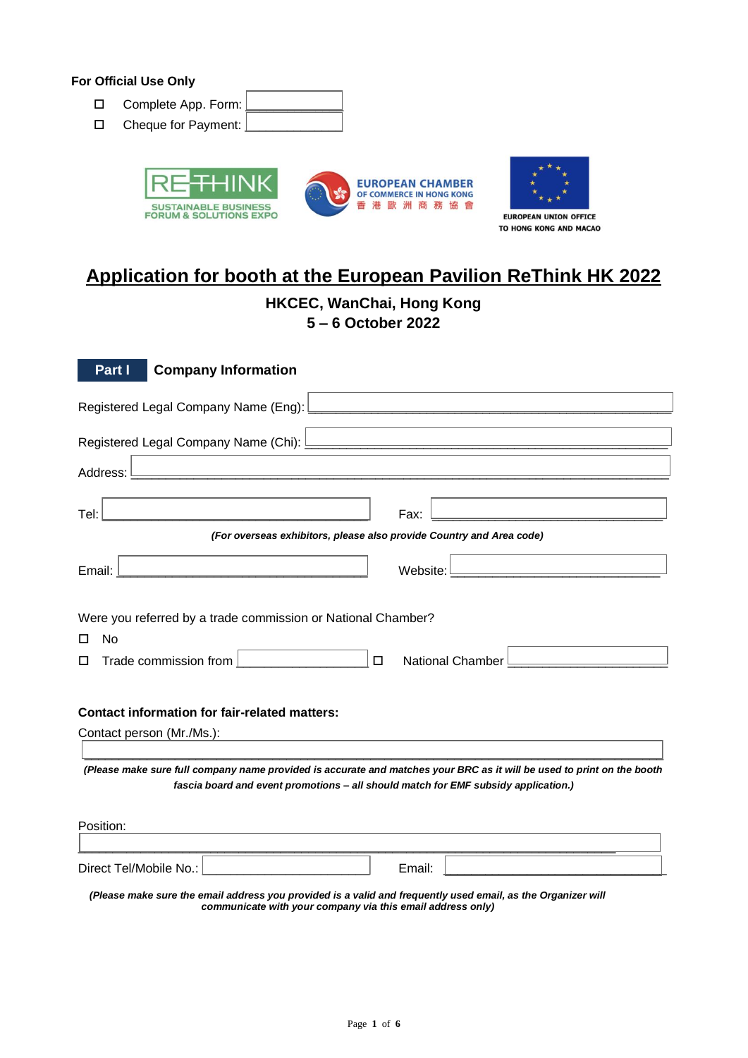## **For Official Use Only**

- Complete App. Form:
- $\Box$  Cheque for Payment:





**HKCEC, WanChai, Hong Kong**

**5 – 6 October 2022**

| Part I<br><b>Company Information</b>                                                                                                                                                                                          |  |  |  |  |  |  |  |
|-------------------------------------------------------------------------------------------------------------------------------------------------------------------------------------------------------------------------------|--|--|--|--|--|--|--|
|                                                                                                                                                                                                                               |  |  |  |  |  |  |  |
| the control of the control of the control of the control of the control of the control of the control of the control of the control of the control of the control of the control of the control of the control of the control |  |  |  |  |  |  |  |
| Address: L                                                                                                                                                                                                                    |  |  |  |  |  |  |  |
| Tel:<br>Fax:<br><u> 1980 - Johann Stein, mars an deus Amerikaansk kommunister (</u><br><u> 1980 - Johann Barn, mars an t-Amerikaansk politiker (</u>                                                                          |  |  |  |  |  |  |  |
| (For overseas exhibitors, please also provide Country and Area code)                                                                                                                                                          |  |  |  |  |  |  |  |
| <u> 1989 - Johann Barn, mars an t-Amerikaansk kommunister (</u><br>Email:<br>Website: L<br>the control of the control of the control of the control of the control of                                                         |  |  |  |  |  |  |  |
| Were you referred by a trade commission or National Chamber?<br><b>No</b><br>п<br>Trade commission from  <br>$\Box$<br>National Chamber<br>П                                                                                  |  |  |  |  |  |  |  |
| <b>Contact information for fair-related matters:</b>                                                                                                                                                                          |  |  |  |  |  |  |  |
| Contact person (Mr./Ms.):                                                                                                                                                                                                     |  |  |  |  |  |  |  |
| (Please make sure full company name provided is accurate and matches your BRC as it will be used to print on the booth<br>fascia board and event promotions - all should match for EMF subsidy application.)                  |  |  |  |  |  |  |  |
| Position:                                                                                                                                                                                                                     |  |  |  |  |  |  |  |
| Direct Tel/Mobile No.:<br>Email:<br>(Please make sure the email address you provided is a valid and frequently used email, as the Organizer will                                                                              |  |  |  |  |  |  |  |

*communicate with your company via this email address only)*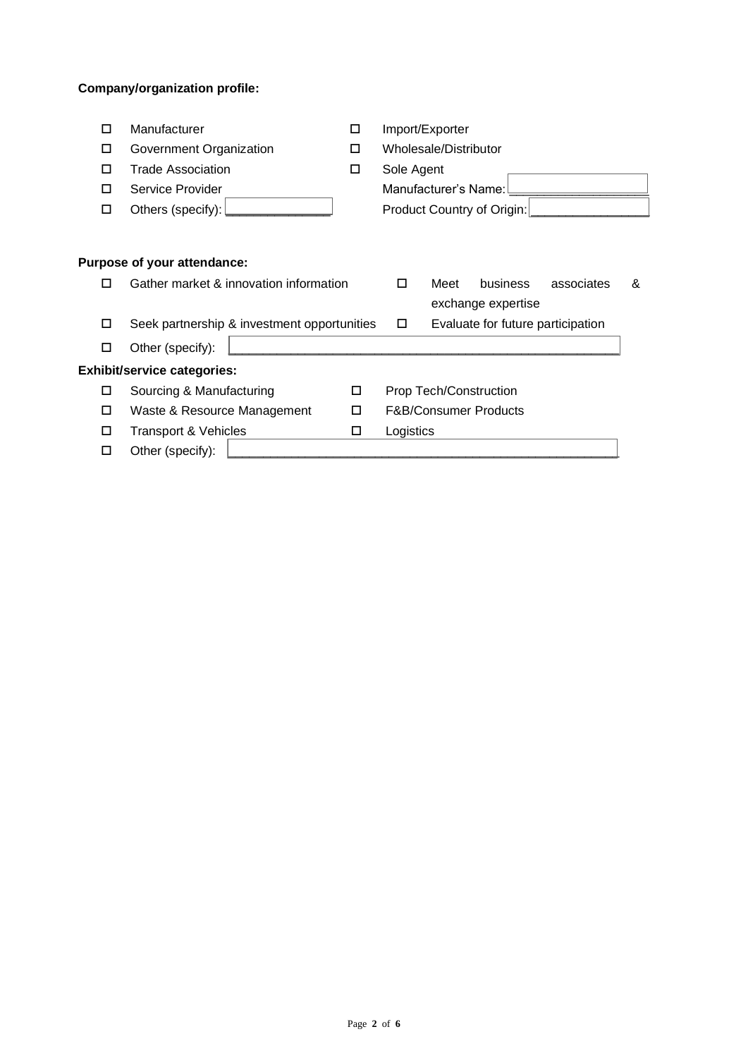# **Company/organization profile:**

| ⊡                                  | Manufacturer                                |   | Import/Exporter                  |      |                                   |            |   |  |
|------------------------------------|---------------------------------------------|---|----------------------------------|------|-----------------------------------|------------|---|--|
| □                                  | Government Organization                     | Ы | Wholesale/Distributor            |      |                                   |            |   |  |
| П                                  | <b>Trade Association</b>                    | ◻ | Sole Agent                       |      |                                   |            |   |  |
| П                                  | Service Provider                            |   | Manufacturer's Name:             |      |                                   |            |   |  |
| ◻                                  | Others (specify):                           |   |                                  |      | Product Country of Origin:        |            |   |  |
|                                    |                                             |   |                                  |      |                                   |            |   |  |
|                                    |                                             |   |                                  |      |                                   |            |   |  |
|                                    | Purpose of your attendance:                 |   |                                  |      |                                   |            |   |  |
| □                                  | Gather market & innovation information      |   | □                                | Meet | business                          | associates | & |  |
|                                    |                                             |   |                                  |      | exchange expertise                |            |   |  |
| ◻                                  | Seek partnership & investment opportunities |   | ▣                                |      | Evaluate for future participation |            |   |  |
| ◻                                  | Other (specify):                            |   |                                  |      |                                   |            |   |  |
| <b>Exhibit/service categories:</b> |                                             |   |                                  |      |                                   |            |   |  |
| □                                  | Sourcing & Manufacturing                    | □ | Prop Tech/Construction           |      |                                   |            |   |  |
| ◻                                  | Waste & Resource Management                 | □ | <b>F&amp;B/Consumer Products</b> |      |                                   |            |   |  |
| ◻                                  | <b>Transport &amp; Vehicles</b>             | ◻ | Logistics                        |      |                                   |            |   |  |
| L                                  | Other (specify):                            |   |                                  |      |                                   |            |   |  |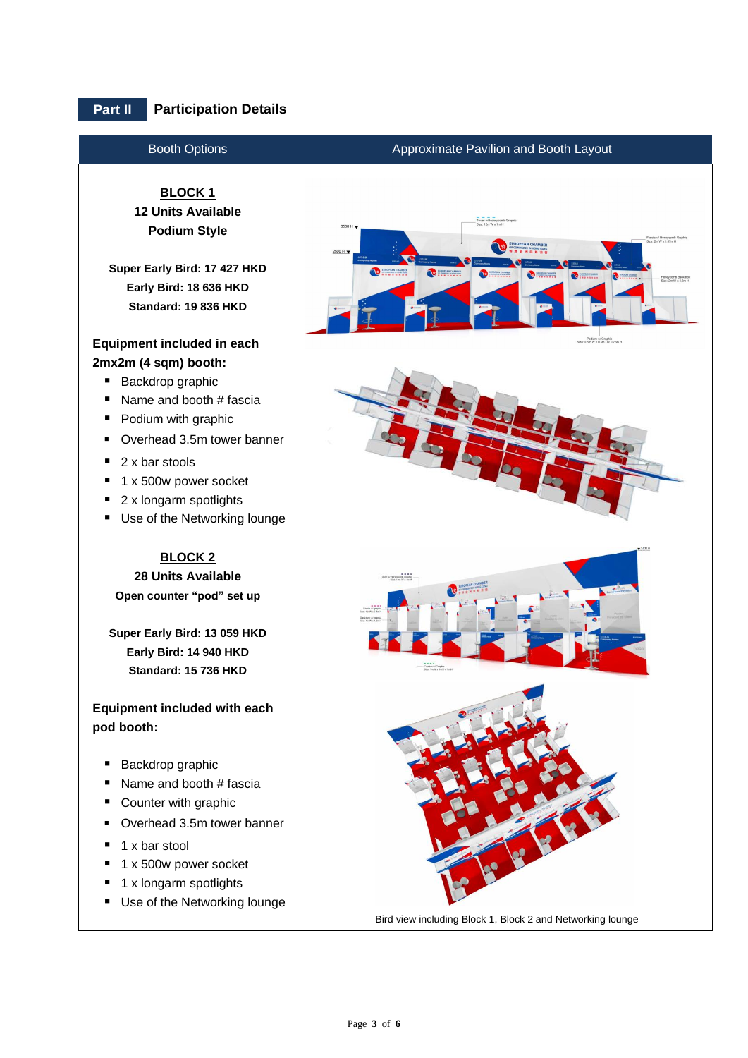# **Part II Participation Details**

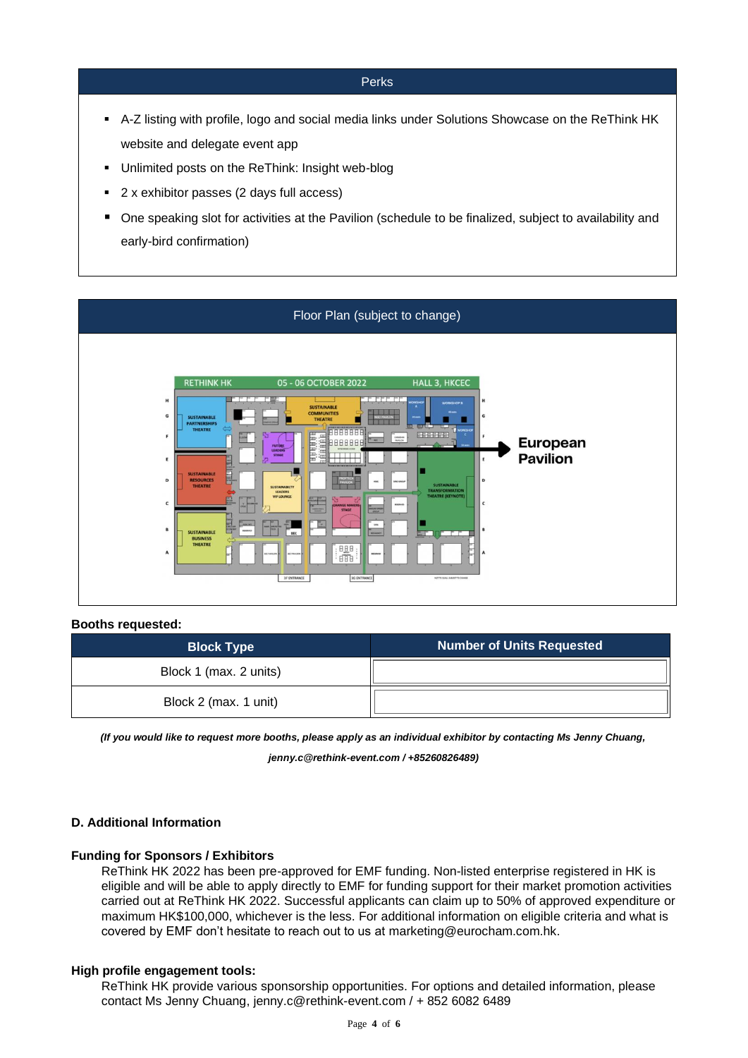#### Perks

- A-Z listing with profile, logo and social media links under Solutions Showcase on the ReThink HK website and delegate event app
- Unlimited posts on the ReThink: Insight web-blog
- 2 x exhibitor passes (2 days full access)
- One speaking slot for activities at the Pavilion (schedule to be finalized, subject to availability and early-bird confirmation)





## **Booths requested:**

| <b>Block Type</b>      | <b>Number of Units Requested</b> |
|------------------------|----------------------------------|
| Block 1 (max. 2 units) |                                  |
| Block 2 (max. 1 unit)  |                                  |

*(If you would like to request more booths, please apply as an individual exhibitor by contacting Ms Jenny Chuang, jenny.c@rethink-event.com / +85260826489)*

# **D. Additional Information**

#### **Funding for Sponsors / Exhibitors**

ReThink HK 2022 has been pre-approved for EMF funding. Non-listed enterprise registered in HK is eligible and will be able to apply directly to EMF for funding support for their market promotion activities carried out at ReThink HK 2022. Successful applicants can claim up to 50% of approved expenditure or maximum HK\$100,000, whichever is the less. For additional information on eligible criteria and what is covered by EMF don't hesitate to reach out to us at [marketing@eurocham.com.hk.](mailto:marketing@eurocham.com.hk) 

#### **High profile engagement tools:**

ReThink HK provide various sponsorship opportunities. For options and detailed information, please contact Ms Jenny Chuang, [jenny.c@rethink-event.com](mailto:jenny.c@rethink-event.com) / + 852 6082 6489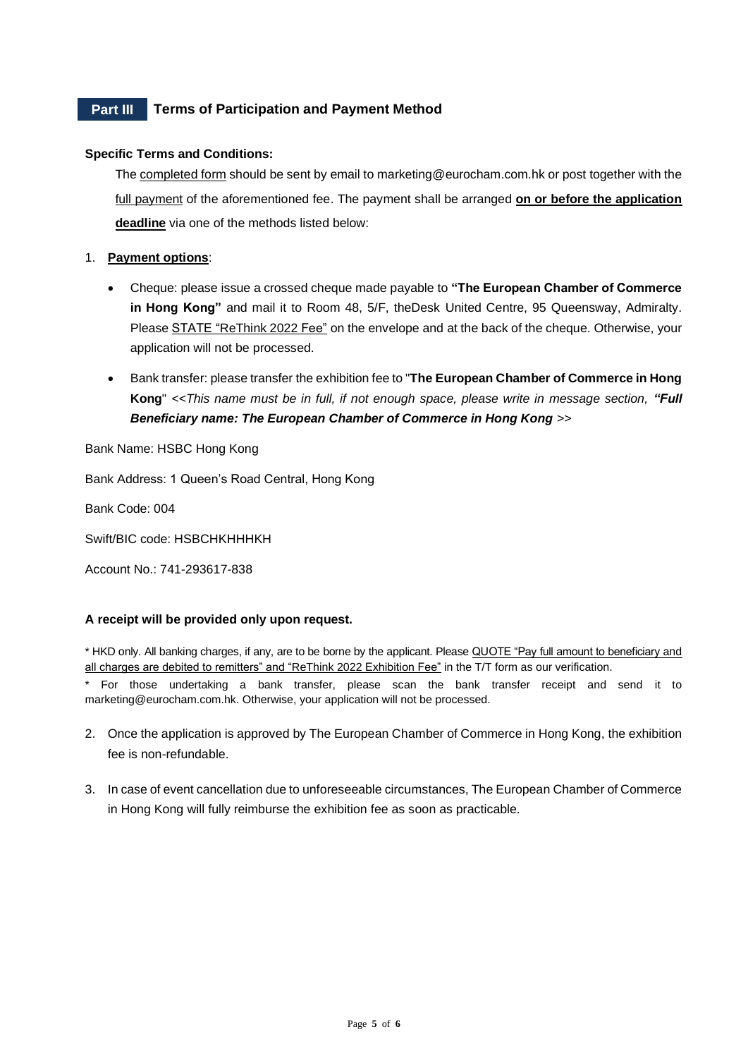# **Part III Terms of Participation and Payment Method**

## **Specific Terms and Conditions:**

The completed form should be sent by email to marketing@eurocham.com.hk or post together with the full payment of the aforementioned fee. The payment shall be arranged on or before the application **deadline** via one of the methods listed below:

## 1. **Payment options**:

- Cheque: please issue a crossed cheque made payable to **"The European Chamber of Commerce in Hong Kong"** and mail it to Room 48, 5/F, theDesk United Centre, 95 Queensway, Admiralty. Please STATE "ReThink 2022 Fee" on the envelope and at the back of the cheque. Otherwise, your application will not be processed.
- Bank transfer: please transfer the exhibition fee to "**The European Chamber of Commerce in Hong Kong**" *<<This name must be in full, if not enough space, please write in message section, "Full Beneficiary name: The European Chamber of Commerce in Hong Kong >>*

Bank Name: HSBC Hong Kong

Bank Address: 1 Queen's Road Central, Hong Kong

Bank Code: 004

Swift/BIC code: HSBCHKHHHKH

Account No.: 741-293617-838

#### **A receipt will be provided only upon request.**

\* HKD only. All banking charges, if any, are to be borne by the applicant. Please QUOTE "Pay full amount to beneficiary and all charges are debited to remitters" and "ReThink 2022 Exhibition Fee" in the T/T form as our verification.

For those undertaking a bank transfer, please scan the bank transfer receipt and send it to marketing@eurocham.com.hk. Otherwise, your application will not be processed.

- 2. Once the application is approved by The European Chamber of Commerce in Hong Kong, the exhibition fee is non-refundable.
- 3. In case of event cancellation due to unforeseeable circumstances, The European Chamber of Commerce in Hong Kong will fully reimburse the exhibition fee as soon as practicable.